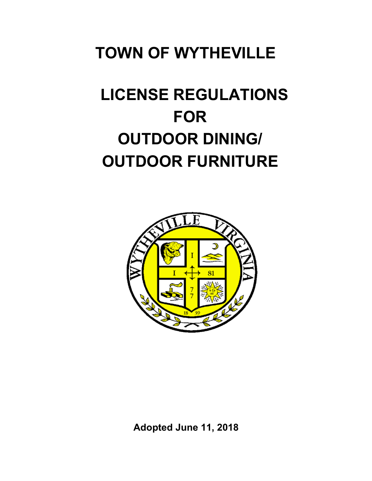# **TOWN OF WYTHEVILLE**

# **LICENSE REGULATIONS FOR OUTDOOR DINING/ OUTDOOR FURNITURE**



**Adopted June 11, 2018**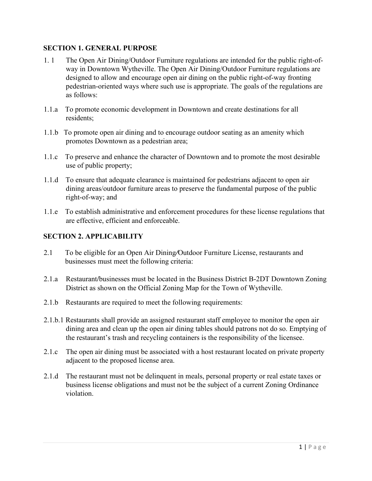# **SECTION 1. GENERAL PURPOSE**

- 1. 1 The Open Air Dining/Outdoor Furniture regulations are intended for the public right-ofway in Downtown Wytheville. The Open Air Dining/Outdoor Furniture regulations are designed to allow and encourage open air dining on the public right-of-way fronting pedestrian-oriented ways where such use is appropriate. The goals of the regulations are as follows:
- 1.1.a To promote economic development in Downtown and create destinations for all residents;
- 1.1.b To promote open air dining and to encourage outdoor seating as an amenity which promotes Downtown as a pedestrian area;
- 1.1.c To preserve and enhance the character of Downtown and to promote the most desirable use of public property;
- 1.1.d To ensure that adequate clearance is maintained for pedestrians adjacent to open air dining areas/outdoor furniture areas to preserve the fundamental purpose of the public right-of-way; and
- 1.1.e To establish administrative and enforcement procedures for these license regulations that are effective, efficient and enforceable.

# **SECTION 2. APPLICABILITY**

- 2.1 To be eligible for an Open Air Dining*/*Outdoor Furniture License, restaurants and businesses must meet the following criteria:
- 2.1.a Restaurant**/**businesses must be located in the Business District B-2DT Downtown Zoning District as shown on the Official Zoning Map for the Town of Wytheville.
- 2.1.b Restaurants are required to meet the following requirements:
- 2.1.b.1 Restaurants shall provide an assigned restaurant staff employee to monitor the open air dining area and clean up the open air dining tables should patrons not do so. Emptying of the restaurant's trash and recycling containers is the responsibility of the licensee.
- 2.1.c The open air dining must be associated with a host restaurant located on private property adjacent to the proposed license area.
- 2.1.d The restaurant must not be delinquent in meals, personal property or real estate taxes or business license obligations and must not be the subject of a current Zoning Ordinance violation.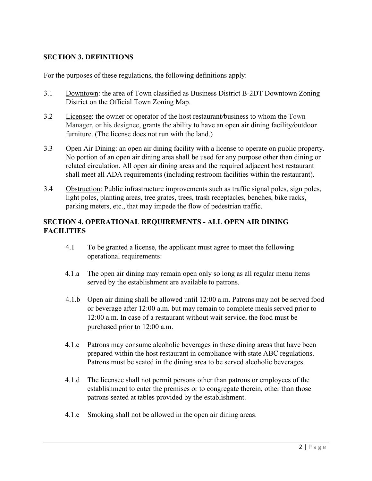# **SECTION 3. DEFINITIONS**

For the purposes of these regulations, the following definitions apply:

- 3.1 Downtown: the area of Town classified as Business District B-2DT Downtown Zoning District on the Official Town Zoning Map.
- 3.2 Licensee: the owner or operator of the host restaurant*/*business to whom the Town Manager, or his designee, grants the ability to have an open air dining facility*/*outdoor furniture. (The license does not run with the land.)
- 3.3 Open Air Dining: an open air dining facility with a license to operate on public property. No portion of an open air dining area shall be used for any purpose other than dining or related circulation. All open air dining areas and the required adjacent host restaurant shall meet all ADA requirements (including restroom facilities within the restaurant).
- 3.4 Obstruction: Public infrastructure improvements such as traffic signal poles, sign poles, light poles, planting areas, tree grates, trees, trash receptacles, benches, bike racks, parking meters, etc., that may impede the flow of pedestrian traffic.

## **SECTION 4. OPERATIONAL REQUIREMENTS - ALL OPEN AIR DINING FACILITIES**

- 4.1 To be granted a license, the applicant must agree to meet the following operational requirements:
- 4.1.a The open air dining may remain open only so long as all regular menu items served by the establishment are available to patrons.
- 4.1.b Open air dining shall be allowed until 12:00 a.m. Patrons may not be served food or beverage after 12:00 a.m. but may remain to complete meals served prior to 12:00 a.m. In case of a restaurant without wait service, the food must be purchased prior to 12:00 a.m.
- 4.1.c Patrons may consume alcoholic beverages in these dining areas that have been prepared within the host restaurant in compliance with state ABC regulations. Patrons must be seated in the dining area to be served alcoholic beverages.
- 4.1.d The licensee shall not permit persons other than patrons or employees of the establishment to enter the premises or to congregate therein, other than those patrons seated at tables provided by the establishment.
- 4.1.e Smoking shall not be allowed in the open air dining areas.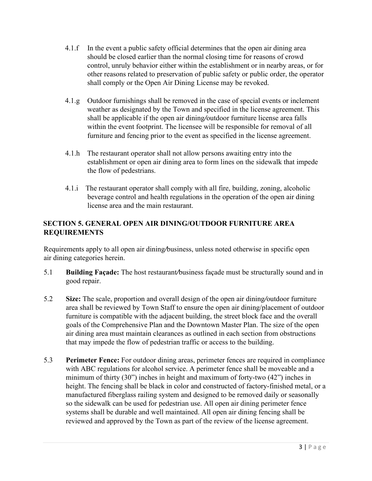- 4.1.f In the event a public safety official determines that the open air dining area should be closed earlier than the normal closing time for reasons of crowd control, unruly behavior either within the establishment or in nearby areas, or for other reasons related to preservation of public safety or public order, the operator shall comply or the Open Air Dining License may be revoked.
- 4.1.g Outdoor furnishings shall be removed in the case of special events or inclement weather as designated by the Town and specified in the license agreement. This shall be applicable if the open air dining*/*outdoor furniture license area falls within the event footprint. The licensee will be responsible for removal of all furniture and fencing prior to the event as specified in the license agreement.
- 4.1.h The restaurant operator shall not allow persons awaiting entry into the establishment or open air dining area to form lines on the sidewalk that impede the flow of pedestrians.
- 4.1.i The restaurant operator shall comply with all fire, building, zoning, alcoholic beverage control and health regulations in the operation of the open air dining license area and the main restaurant.

# **SECTION 5. GENERAL OPEN AIR DINING/OUTDOOR FURNITURE AREA REQUIREMENTS**

Requirements apply to all open air dining*/*business, unless noted otherwise in specific open air dining categories herein.

- 5.1 **Building Façade:** The host restaurant*/*business façade must be structurally sound and in good repair.
- 5.2 **Size:** The scale, proportion and overall design of the open air dining*/*outdoor furniture area shall be reviewed by Town Staff to ensure the open air dining/placement of outdoor furniture is compatible with the adjacent building, the street block face and the overall goals of the Comprehensive Plan and the Downtown Master Plan. The size of the open air dining area must maintain clearances as outlined in each section from obstructions that may impede the flow of pedestrian traffic or access to the building.
- 5.3 **Perimeter Fence:** For outdoor dining areas, perimeter fences are required in compliance with ABC regulations for alcohol service. A perimeter fence shall be moveable and a minimum of thirty (30") inches in height and maximum of forty-two (42") inches in height. The fencing shall be black in color and constructed of factory-finished metal, or a manufactured fiberglass railing system and designed to be removed daily or seasonally so the sidewalk can be used for pedestrian use. All open air dining perimeter fence systems shall be durable and well maintained. All open air dining fencing shall be reviewed and approved by the Town as part of the review of the license agreement.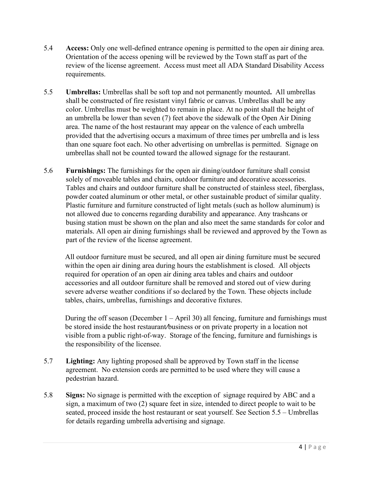- 5.4 **Access:** Only one well-defined entrance opening is permitted to the open air dining area. Orientation of the access opening will be reviewed by the Town staff as part of the review of the license agreement. Access must meet all ADA Standard Disability Access requirements.
- 5.5 **Umbrellas:** Umbrellas shall be soft top and not permanently mounted**.** All umbrellas shall be constructed of fire resistant vinyl fabric or canvas. Umbrellas shall be any color. Umbrellas must be weighted to remain in place. At no point shall the height of an umbrella be lower than seven (7) feet above the sidewalk of the Open Air Dining area. The name of the host restaurant may appear on the valence of each umbrella provided that the advertising occurs a maximum of three times per umbrella and is less than one square foot each. No other advertising on umbrellas is permitted. Signage on umbrellas shall not be counted toward the allowed signage for the restaurant.
- 5.6 **Furnishings:** The furnishings for the open air dining/outdoor furniture shall consist solely of moveable tables and chairs, outdoor furniture and decorative accessories. Tables and chairs and outdoor furniture shall be constructed of stainless steel, fiberglass, powder coated aluminum or other metal, or other sustainable product of similar quality. Plastic furniture and furniture constructed of light metals (such as hollow aluminum) is not allowed due to concerns regarding durability and appearance. Any trashcans or busing station must be shown on the plan and also meet the same standards for color and materials. All open air dining furnishings shall be reviewed and approved by the Town as part of the review of the license agreement.

All outdoor furniture must be secured, and all open air dining furniture must be secured within the open air dining area during hours the establishment is closed. All objects required for operation of an open air dining area tables and chairs and outdoor accessories and all outdoor furniture shall be removed and stored out of view during severe adverse weather conditions if so declared by the Town. These objects include tables, chairs, umbrellas, furnishings and decorative fixtures.

During the off season (December  $1 -$  April 30) all fencing, furniture and furnishings must be stored inside the host restaurant*/*business or on private property in a location not visible from a public right-of-way. Storage of the fencing, furniture and furnishings is the responsibility of the licensee.

- 5.7 **Lighting:** Any lighting proposed shall be approved by Town staff in the license agreement. No extension cords are permitted to be used where they will cause a pedestrian hazard.
- 5.8 **Signs:** No signage is permitted with the exception of signage required by ABC and a sign, a maximum of two (2) square feet in size, intended to direct people to wait to be seated, proceed inside the host restaurant or seat yourself. See Section 5.5 – Umbrellas for details regarding umbrella advertising and signage.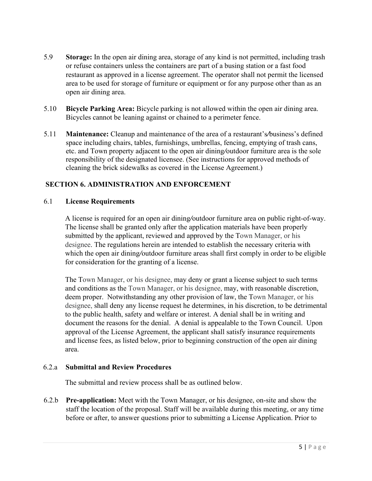- 5.9 **Storage:** In the open air dining area, storage of any kind is not permitted, including trash or refuse containers unless the containers are part of a busing station or a fast food restaurant as approved in a license agreement. The operator shall not permit the licensed area to be used for storage of furniture or equipment or for any purpose other than as an open air dining area.
- 5.10 **Bicycle Parking Area:** Bicycle parking is not allowed within the open air dining area. Bicycles cannot be leaning against or chained to a perimeter fence.
- 5.11 **Maintenance:** Cleanup and maintenance of the area of a restaurant's*/*business's defined space including chairs, tables, furnishings, umbrellas, fencing, emptying of trash cans, etc. and Town property adjacent to the open air dining*/*outdoor furniture area is the sole responsibility of the designated licensee. (See instructions for approved methods of cleaning the brick sidewalks as covered in the License Agreement.)

# **SECTION 6. ADMINISTRATION AND ENFORCEMENT**

#### 6.1 **License Requirements**

A license is required for an open air dining*/*outdoor furniture area on public right-of-way. The license shall be granted only after the application materials have been properly submitted by the applicant, reviewed and approved by the Town Manager, or his designee. The regulations herein are intended to establish the necessary criteria with which the open air dining*/*outdoor furniture areas shall first comply in order to be eligible for consideration for the granting of a license.

The Town Manager, or his designee, may deny or grant a license subject to such terms and conditions as the Town Manager, or his designee, may, with reasonable discretion, deem proper. Notwithstanding any other provision of law, the Town Manager, or his designee, shall deny any license request he determines, in his discretion, to be detrimental to the public health, safety and welfare or interest. A denial shall be in writing and document the reasons for the denial. A denial is appealable to the Town Council. Upon approval of the License Agreement, the applicant shall satisfy insurance requirements and license fees, as listed below, prior to beginning construction of the open air dining area.

#### 6.2.a **Submittal and Review Procedures**

The submittal and review process shall be as outlined below.

6.2.b **Pre-application:** Meet with the Town Manager, or his designee, on-site and show the staff the location of the proposal. Staff will be available during this meeting, or any time before or after, to answer questions prior to submitting a License Application. Prior to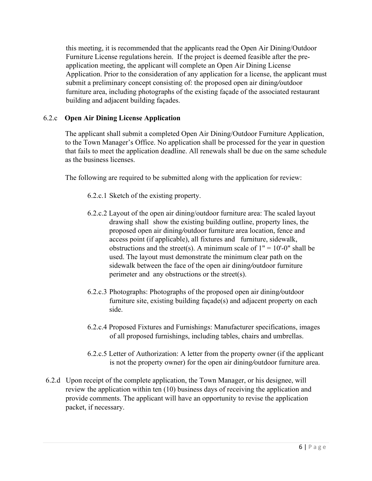this meeting, it is recommended that the applicants read the Open Air Dining/Outdoor Furniture License regulations herein. If the project is deemed feasible after the preapplication meeting, the applicant will complete an Open Air Dining License Application. Prior to the consideration of any application for a license, the applicant must submit a preliminary concept consisting of: the proposed open air dining*/*outdoor furniture area, including photographs of the existing façade of the associated restaurant building and adjacent building façades.

# 6.2.c **Open Air Dining License Application**

The applicant shall submit a completed Open Air Dining/Outdoor Furniture Application, to the Town Manager's Office. No application shall be processed for the year in question that fails to meet the application deadline. All renewals shall be due on the same schedule as the business licenses.

The following are required to be submitted along with the application for review:

- 6.2.c.1 Sketch of the existing property.
- 6.2.c.2 Layout of the open air dining/outdoor furniture area: The scaled layout drawing shall show the existing building outline, property lines, the proposed open air dining*/*outdoor furniture area location, fence and access point (if applicable), all fixtures and furniture, sidewalk, obstructions and the street(s). A minimum scale of  $1" = 10'-0"$  shall be used. The layout must demonstrate the minimum clear path on the sidewalk between the face of the open air dining*/*outdoor furniture perimeter and any obstructions or the street(s).
- 6.2.c.3 Photographs: Photographs of the proposed open air dining*/*outdoor furniture site, existing building façade(s) and adjacent property on each side.
- 6.2.c.4 Proposed Fixtures and Furnishings: Manufacturer specifications, images of all proposed furnishings, including tables, chairs and umbrellas.
- 6.2.c.5 Letter of Authorization: A letter from the property owner (if the applicant is not the property owner) for the open air dining*/*outdoor furniture area.
- 6.2.d Upon receipt of the complete application, the Town Manager, or his designee, will review the application within ten (10) business days of receiving the application and provide comments. The applicant will have an opportunity to revise the application packet, if necessary.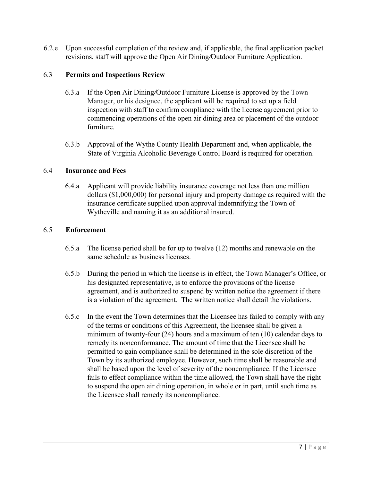6.2.e Upon successful completion of the review and, if applicable, the final application packet revisions, staff will approve the Open Air Dining*/*Outdoor Furniture Application.

#### 6.3 **Permits and Inspections Review**

- 6.3.a If the Open Air Dining*/*Outdoor Furniture License is approved by the Town Manager, or his designee, the applicant will be required to set up a field inspection with staff to confirm compliance with the license agreement prior to commencing operations of the open air dining area or placement of the outdoor furniture.
- 6.3.b Approval of the Wythe County Health Department and, when applicable, the State of Virginia Alcoholic Beverage Control Board is required for operation.

#### 6.4 **Insurance and Fees**

6.4.a Applicant will provide liability insurance coverage not less than one million dollars (\$1,000,000) for personal injury and property damage as required with the insurance certificate supplied upon approval indemnifying the Town of Wytheville and naming it as an additional insured.

#### 6.5 **Enforcement**

- 6.5.a The license period shall be for up to twelve (12) months and renewable on the same schedule as business licenses.
- 6.5.b During the period in which the license is in effect, the Town Manager's Office, or his designated representative, is to enforce the provisions of the license agreement, and is authorized to suspend by written notice the agreement if there is a violation of the agreement. The written notice shall detail the violations.
- 6.5.c In the event the Town determines that the Licensee has failed to comply with any of the terms or conditions of this Agreement, the licensee shall be given a minimum of twenty-four (24) hours and a maximum of ten (10) calendar days to remedy its nonconformance. The amount of time that the Licensee shall be permitted to gain compliance shall be determined in the sole discretion of the Town by its authorized employee. However, such time shall be reasonable and shall be based upon the level of severity of the noncompliance. If the Licensee fails to effect compliance within the time allowed, the Town shall have the right to suspend the open air dining operation, in whole or in part, until such time as the Licensee shall remedy its noncompliance.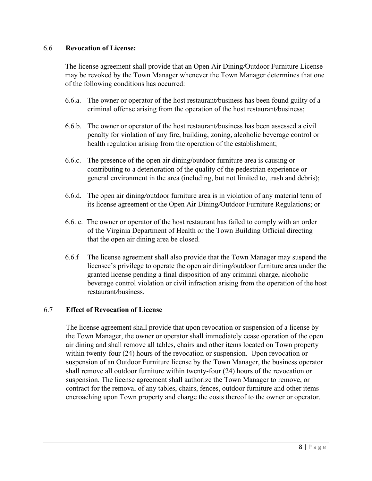#### 6.6 **Revocation of License:**

The license agreement shall provide that an Open Air Dining*/*Outdoor Furniture License may be revoked by the Town Manager whenever the Town Manager determines that one of the following conditions has occurred:

- 6.6.a. The owner or operator of the host restaurant*/*business has been found guilty of a criminal offense arising from the operation of the host restaurant*/*business;
- 6.6.b. The owner or operator of the host restaurant*/*business has been assessed a civil penalty for violation of any fire, building, zoning, alcoholic beverage control or health regulation arising from the operation of the establishment;
- 6.6.c. The presence of the open air dining**/**outdoor furniture area is causing or contributing to a deterioration of the quality of the pedestrian experience or general environment in the area (including, but not limited to, trash and debris);
- 6.6.d. The open air dining*/*outdoor furniture area is in violation of any material term of its license agreement or the Open Air Dining*/*Outdoor Furniture Regulations; or
- 6.6. e. The owner or operator of the host restaurant has failed to comply with an order of the Virginia Department of Health or the Town Building Official directing that the open air dining area be closed.
- 6.6.f The license agreement shall also provide that the Town Manager may suspend the licensee's privilege to operate the open air dining*/*outdoor furniture area under the granted license pending a final disposition of any criminal charge, alcoholic beverage control violation or civil infraction arising from the operation of the host restaurant*/*business.

#### 6.7 **Effect of Revocation of License**

The license agreement shall provide that upon revocation or suspension of a license by the Town Manager, the owner or operator shall immediately cease operation of the open air dining and shall remove all tables, chairs and other items located on Town property within twenty-four (24) hours of the revocation or suspension. Upon revocation or suspension of an Outdoor Furniture license by the Town Manager, the business operator shall remove all outdoor furniture within twenty-four (24) hours of the revocation or suspension. The license agreement shall authorize the Town Manager to remove, or contract for the removal of any tables, chairs, fences, outdoor furniture and other items encroaching upon Town property and charge the costs thereof to the owner or operator.